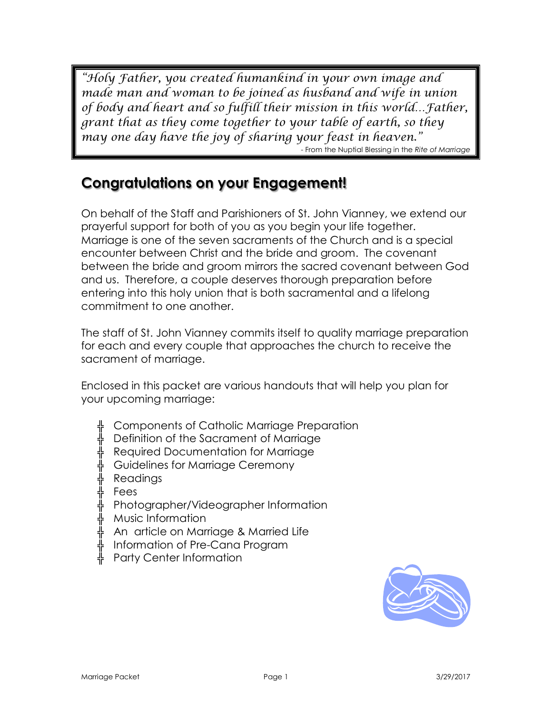*"Holy Father, you created humankind in your own image and made man and woman to be joined as husband and wife in union of body and heart and so fulfill their mission in this world…Father, grant that as they come together to your table of earth, so they may one day have the joy of sharing your feast in heaven."*  - From the Nuptial Blessing in the *Rite of Marriage*

# **Congratulations on your Engagement!**

On behalf of the Staff and Parishioners of St. John Vianney, we extend our prayerful support for both of you as you begin your life together. Marriage is one of the seven sacraments of the Church and is a special encounter between Christ and the bride and groom. The covenant between the bride and groom mirrors the sacred covenant between God and us. Therefore, a couple deserves thorough preparation before entering into this holy union that is both sacramental and a lifelong commitment to one another.

The staff of St. John Vianney commits itself to quality marriage preparation for each and every couple that approaches the church to receive the sacrament of marriage.

Enclosed in this packet are various handouts that will help you plan for your upcoming marriage:

- ╬ Components of Catholic Marriage Preparation
- ╬ Definition of the Sacrament of Marriage
- ╬ Required Documentation for Marriage
- ╬ Guidelines for Marriage Ceremony
- $\frac{1}{\mathsf{F}}$  Readings
- ╬ Fees
- ╬ Photographer/Videographer Information
- ╬ Music Information
- ╬ An article on Marriage & Married Life
- ╬ Information of Pre-Cana Program
- ╬ Party Center Information

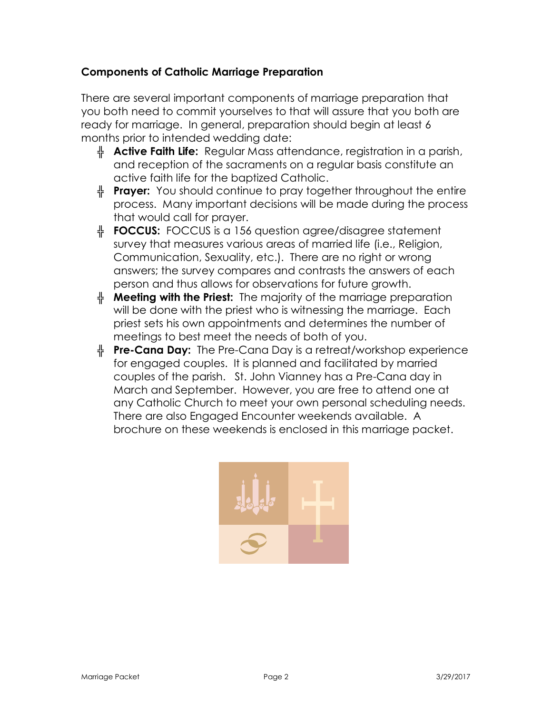## **Components of Catholic Marriage Preparation**

There are several important components of marriage preparation that you both need to commit yourselves to that will assure that you both are ready for marriage. In general, preparation should begin at least 6 months prior to intended wedding date:

- **Active Faith Life:** Regular Mass attendance, registration in a parish, and reception of the sacraments on a regular basis constitute an active faith life for the baptized Catholic.
- **Prayer:** You should continue to pray together throughout the entire process. Many important decisions will be made during the process that would call for prayer.
- **FOCCUS:** FOCCUS is a 156 question agree/disagree statement survey that measures various areas of married life (i.e., Religion, Communication, Sexuality, etc.). There are no right or wrong answers; the survey compares and contrasts the answers of each person and thus allows for observations for future growth.
- **EXP** Meeting with the Priest: The majority of the marriage preparation will be done with the priest who is witnessing the marriage. Each priest sets his own appointments and determines the number of meetings to best meet the needs of both of you.
- **Pre-Cana Day:** The Pre-Cana Day is a retreat/workshop experience for engaged couples. It is planned and facilitated by married couples of the parish. St. John Vianney has a Pre-Cana day in March and September. However, you are free to attend one at any Catholic Church to meet your own personal scheduling needs. There are also Engaged Encounter weekends available. A brochure on these weekends is enclosed in this marriage packet.

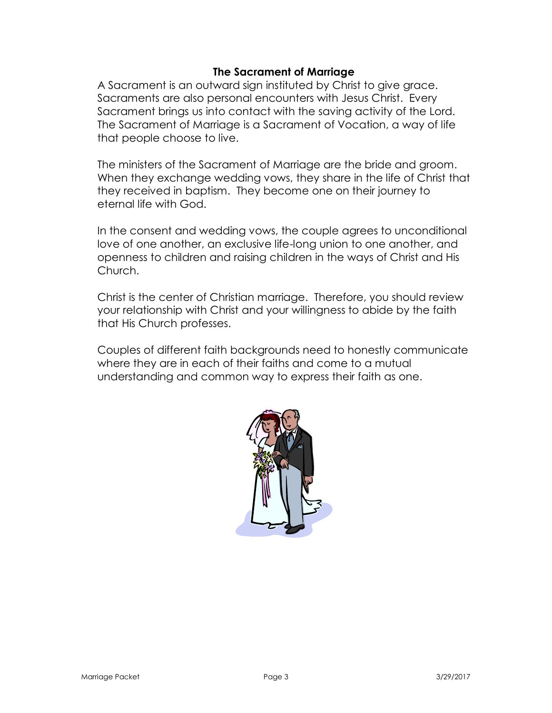#### **The Sacrament of Marriage**

A Sacrament is an outward sign instituted by Christ to give grace. Sacraments are also personal encounters with Jesus Christ. Every Sacrament brings us into contact with the saving activity of the Lord. The Sacrament of Marriage is a Sacrament of Vocation, a way of life that people choose to live.

The ministers of the Sacrament of Marriage are the bride and groom. When they exchange wedding vows, they share in the life of Christ that they received in baptism. They become one on their journey to eternal life with God.

In the consent and wedding vows, the couple agrees to unconditional love of one another, an exclusive life-long union to one another, and openness to children and raising children in the ways of Christ and His Church.

Christ is the center of Christian marriage. Therefore, you should review your relationship with Christ and your willingness to abide by the faith that His Church professes.

Couples of different faith backgrounds need to honestly communicate where they are in each of their faiths and come to a mutual understanding and common way to express their faith as one.

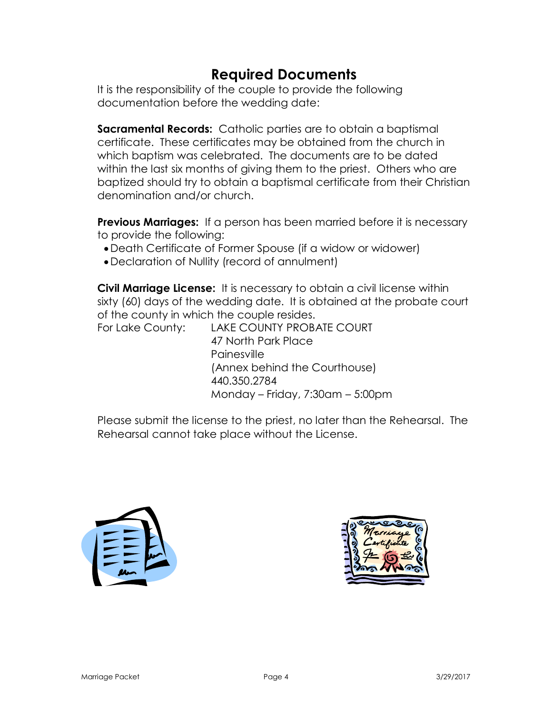# **Required Documents**

It is the responsibility of the couple to provide the following documentation before the wedding date:

**Sacramental Records:** Catholic parties are to obtain a baptismal certificate. These certificates may be obtained from the church in which baptism was celebrated. The documents are to be dated within the last six months of giving them to the priest. Others who are baptized should try to obtain a baptismal certificate from their Christian denomination and/or church.

**Previous Marriages:** If a person has been married before it is necessary to provide the following:

- Death Certificate of Former Spouse (if a widow or widower)
- Declaration of Nullity (record of annulment)

**Civil Marriage License:** It is necessary to obtain a civil license within sixty (60) days of the wedding date. It is obtained at the probate court of the county in which the couple resides.

For Lake County: LAKE COUNTY PROBATE COURT 47 North Park Place Painesville (Annex behind the Courthouse) 440.350.2784 Monday – Friday, 7:30am – 5:00pm

Please submit the license to the priest, no later than the Rehearsal. The Rehearsal cannot take place without the License.



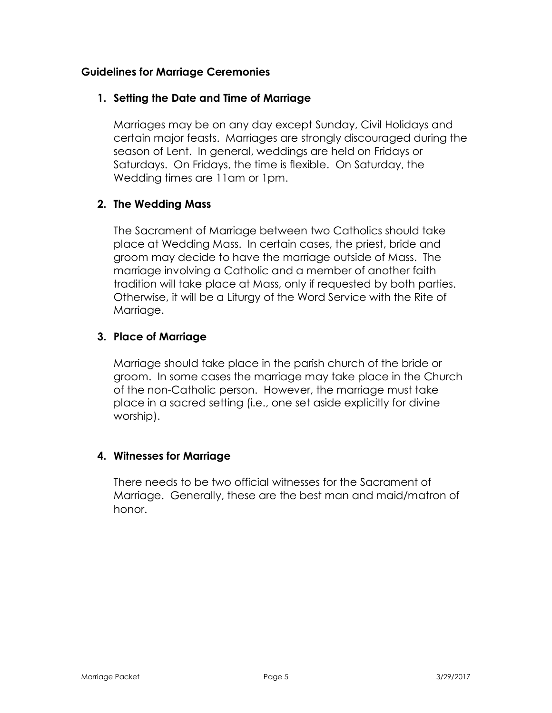#### **Guidelines for Marriage Ceremonies**

#### **1. Setting the Date and Time of Marriage**

Marriages may be on any day except Sunday, Civil Holidays and certain major feasts. Marriages are strongly discouraged during the season of Lent. In general, weddings are held on Fridays or Saturdays. On Fridays, the time is flexible. On Saturday, the Wedding times are 11am or 1pm.

## **2. The Wedding Mass**

The Sacrament of Marriage between two Catholics should take place at Wedding Mass. In certain cases, the priest, bride and groom may decide to have the marriage outside of Mass. The marriage involving a Catholic and a member of another faith tradition will take place at Mass, only if requested by both parties. Otherwise, it will be a Liturgy of the Word Service with the Rite of Marriage.

#### **3. Place of Marriage**

Marriage should take place in the parish church of the bride or groom. In some cases the marriage may take place in the Church of the non-Catholic person. However, the marriage must take place in a sacred setting (i.e., one set aside explicitly for divine worship).

#### **4. Witnesses for Marriage**

There needs to be two official witnesses for the Sacrament of Marriage. Generally, these are the best man and maid/matron of honor.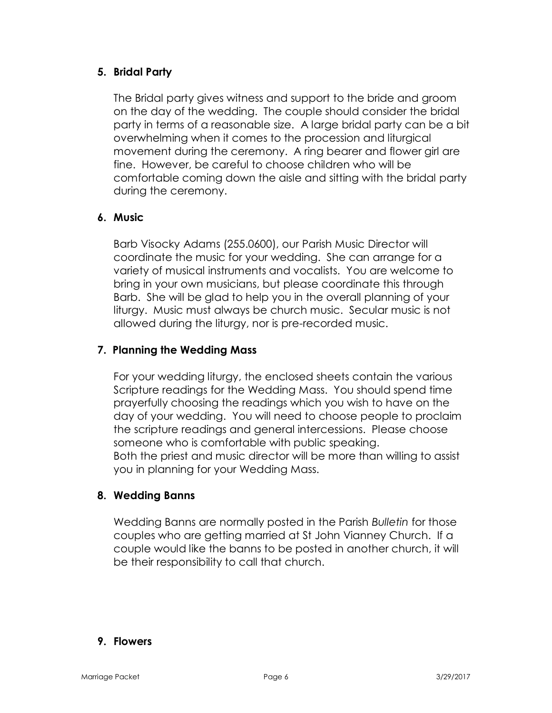## **5. Bridal Party**

The Bridal party gives witness and support to the bride and groom on the day of the wedding. The couple should consider the bridal party in terms of a reasonable size. A large bridal party can be a bit overwhelming when it comes to the procession and liturgical movement during the ceremony. A ring bearer and flower girl are fine. However, be careful to choose children who will be comfortable coming down the aisle and sitting with the bridal party during the ceremony.

## **6. Music**

Barb Visocky Adams (255.0600), our Parish Music Director will coordinate the music for your wedding. She can arrange for a variety of musical instruments and vocalists. You are welcome to bring in your own musicians, but please coordinate this through Barb. She will be glad to help you in the overall planning of your liturgy. Music must always be church music. Secular music is not allowed during the liturgy, nor is pre-recorded music.

#### **7. Planning the Wedding Mass**

For your wedding liturgy, the enclosed sheets contain the various Scripture readings for the Wedding Mass. You should spend time prayerfully choosing the readings which you wish to have on the day of your wedding. You will need to choose people to proclaim the scripture readings and general intercessions. Please choose someone who is comfortable with public speaking. Both the priest and music director will be more than willing to assist you in planning for your Wedding Mass.

#### **8. Wedding Banns**

Wedding Banns are normally posted in the Parish *Bulletin* for those couples who are getting married at St John Vianney Church. If a couple would like the banns to be posted in another church, it will be their responsibility to call that church.

## **9. Flowers**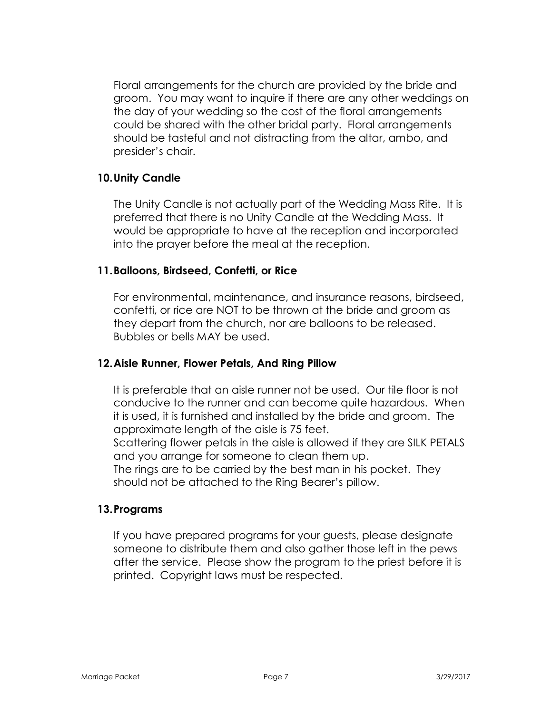Floral arrangements for the church are provided by the bride and groom. You may want to inquire if there are any other weddings on the day of your wedding so the cost of the floral arrangements could be shared with the other bridal party. Floral arrangements should be tasteful and not distracting from the altar, ambo, and presider's chair.

#### **10.Unity Candle**

The Unity Candle is not actually part of the Wedding Mass Rite. It is preferred that there is no Unity Candle at the Wedding Mass. It would be appropriate to have at the reception and incorporated into the prayer before the meal at the reception.

#### **11.Balloons, Birdseed, Confetti, or Rice**

For environmental, maintenance, and insurance reasons, birdseed, confetti, or rice are NOT to be thrown at the bride and groom as they depart from the church, nor are balloons to be released. Bubbles or bells MAY be used.

#### **12.Aisle Runner, Flower Petals, And Ring Pillow**

It is preferable that an aisle runner not be used. Our tile floor is not conducive to the runner and can become quite hazardous. When it is used, it is furnished and installed by the bride and groom. The approximate length of the aisle is 75 feet.

Scattering flower petals in the aisle is allowed if they are SILK PETALS and you arrange for someone to clean them up.

The rings are to be carried by the best man in his pocket. They should not be attached to the Ring Bearer's pillow.

#### **13.Programs**

If you have prepared programs for your guests, please designate someone to distribute them and also gather those left in the pews after the service. Please show the program to the priest before it is printed. Copyright laws must be respected.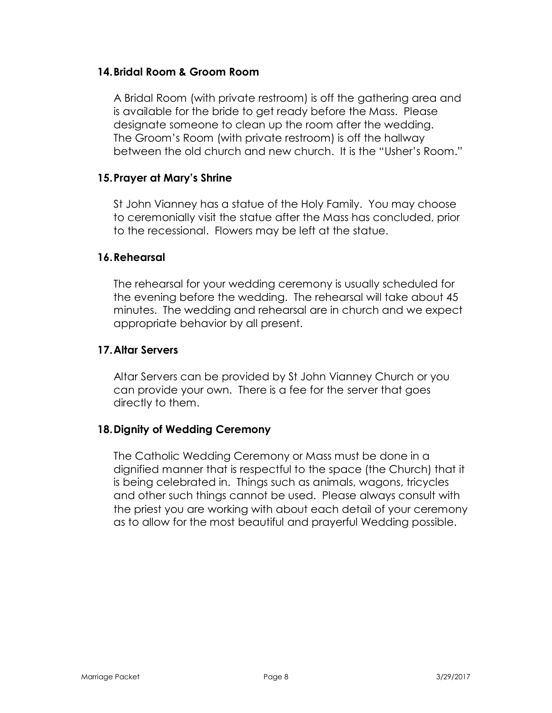#### **14.Bridal Room & Groom Room**

A Bridal Room (with private restroom) is off the gathering area and is available for the bride to get ready before the Mass. Please designate someone to clean up the room after the wedding. The Groom's Room (with private restroom) is off the hallway between the old church and new church. It is the "Usher's Room."

#### **15.Prayer at Mary's Shrine**

St John Vianney has a statue of the Holy Family. You may choose to ceremonially visit the statue after the Mass has concluded, prior to the recessional. Flowers may be left at the statue.

#### **16.Rehearsal**

The rehearsal for your wedding ceremony is usually scheduled for the evening before the wedding. The rehearsal will take about 45 minutes. The wedding and rehearsal are in church and we expect appropriate behavior by all present.

#### **17.Altar Servers**

Altar Servers can be provided by St John Vianney Church or you can provide your own. There is a fee for the server that goes directly to them.

## **18.Dignity of Wedding Ceremony**

The Catholic Wedding Ceremony or Mass must be done in a dignified manner that is respectful to the space (the Church) that it is being celebrated in. Things such as animals, wagons, tricycles and other such things cannot be used. Please always consult with the priest you are working with about each detail of your ceremony as to allow for the most beautiful and prayerful Wedding possible.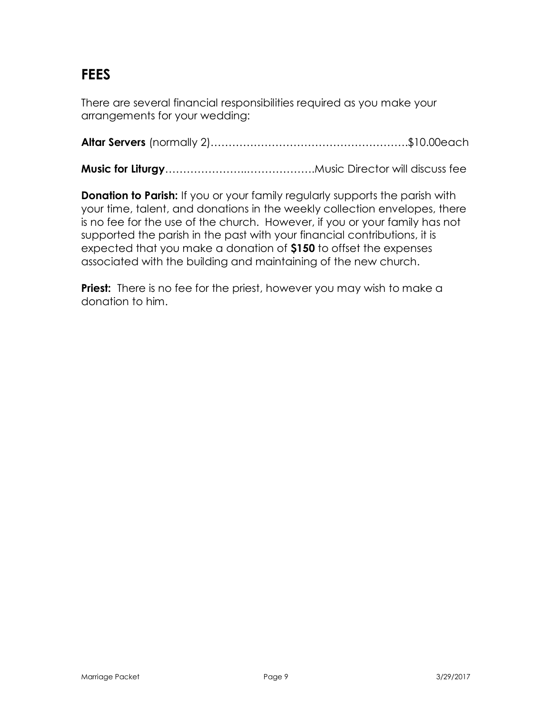# **FEES**

There are several financial responsibilities required as you make your arrangements for your wedding:

**Altar Servers** (normally 2)……………………………………………….\$10.00each

**Music for Liturgy**…………………..……………….Music Director will discuss fee

**Donation to Parish:** If you or your family regularly supports the parish with your time, talent, and donations in the weekly collection envelopes, there is no fee for the use of the church. However, if you or your family has not supported the parish in the past with your financial contributions, it is expected that you make a donation of **\$150** to offset the expenses associated with the building and maintaining of the new church.

**Priest:** There is no fee for the priest, however you may wish to make a donation to him.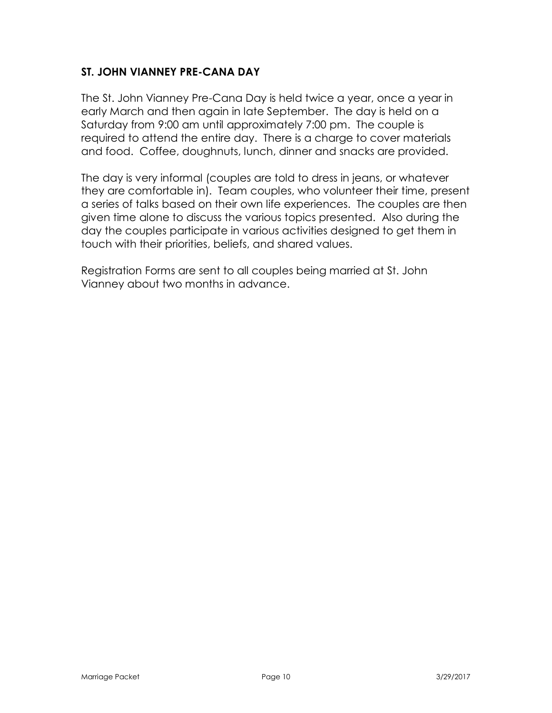## **ST. JOHN VIANNEY PRE-CANA DAY**

The St. John Vianney Pre-Cana Day is held twice a year, once a year in early March and then again in late September. The day is held on a Saturday from 9:00 am until approximately 7:00 pm. The couple is required to attend the entire day. There is a charge to cover materials and food. Coffee, doughnuts, lunch, dinner and snacks are provided.

The day is very informal (couples are told to dress in jeans, or whatever they are comfortable in). Team couples, who volunteer their time, present a series of talks based on their own life experiences. The couples are then given time alone to discuss the various topics presented. Also during the day the couples participate in various activities designed to get them in touch with their priorities, beliefs, and shared values.

Registration Forms are sent to all couples being married at St. John Vianney about two months in advance.